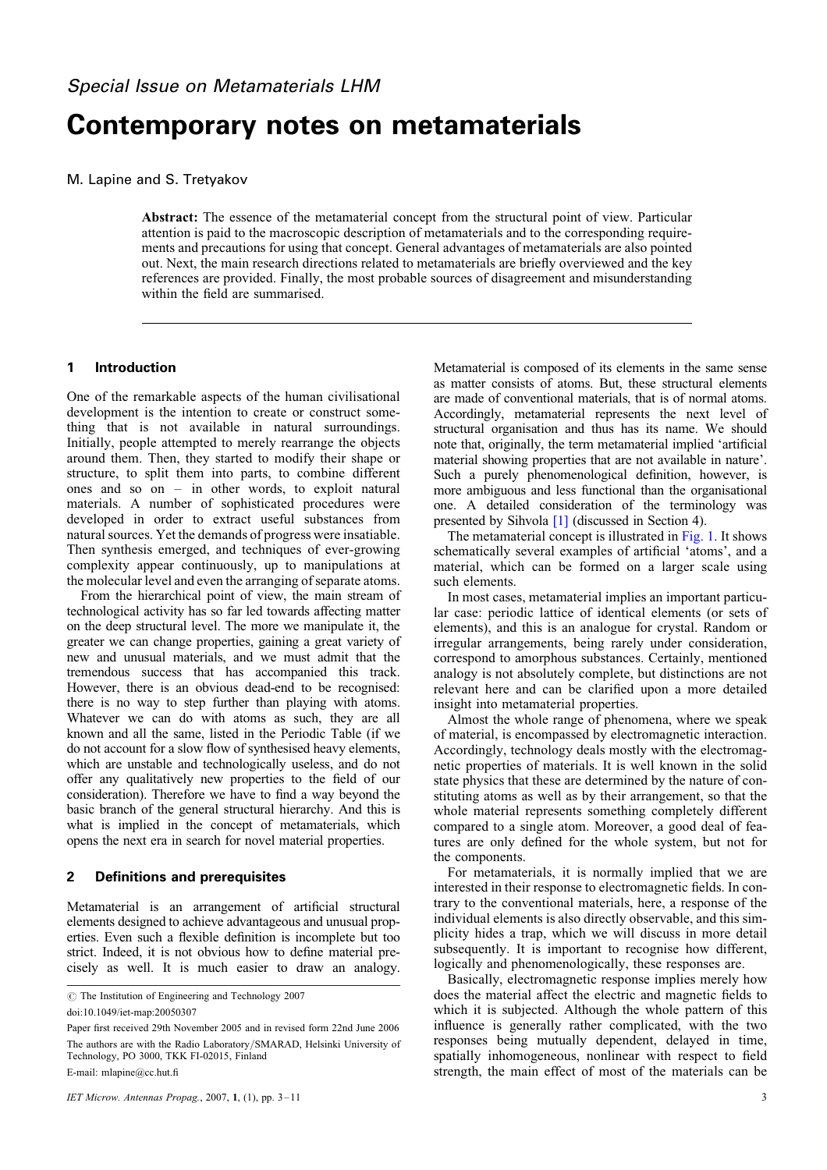# Contemporary notes on metamaterials

# M. Lapine and S. Tretyakov

Abstract: The essence of the metamaterial concept from the structural point of view. Particular attention is paid to the macroscopic description of metamaterials and to the corresponding requirements and precautions for using that concept. General advantages of metamaterials are also pointed out. Next, the main research directions related to metamaterials are briefly overviewed and the key references are provided. Finally, the most probable sources of disagreement and misunderstanding within the field are summarised.

## 1 Introduction

One of the remarkable aspects of the human civilisational development is the intention to create or construct something that is not available in natural surroundings. Initially, people attempted to merely rearrange the objects around them. Then, they started to modify their shape or structure, to split them into parts, to combine different ones and so on – in other words, to exploit natural materials. A number of sophisticated procedures were developed in order to extract useful substances from natural sources. Yet the demands of progress were insatiable. Then synthesis emerged, and techniques of ever-growing complexity appear continuously, up to manipulations at the molecular level and even the arranging of separate atoms.

From the hierarchical point of view, the main stream of technological activity has so far led towards affecting matter on the deep structural level. The more we manipulate it, the greater we can change properties, gaining a great variety of new and unusual materials, and we must admit that the tremendous success that has accompanied this track. However, there is an obvious dead-end to be recognised: there is no way to step further than playing with atoms. Whatever we can do with atoms as such, they are all known and all the same, listed in the Periodic Table (if we do not account for a slow flow of synthesised heavy elements, which are unstable and technologically useless, and do not offer any qualitatively new properties to the field of our consideration). Therefore we have to find a way beyond the basic branch of the general structural hierarchy. And this is what is implied in the concept of metamaterials, which opens the next era in search for novel material properties.

## 2 Definitions and prerequisites

Metamaterial is an arrangement of artificial structural elements designed to achieve advantageous and unusual properties. Even such a flexible definition is incomplete but too strict. Indeed, it is not obvious how to define material precisely as well. It is much easier to draw an analogy.

doi:10.1049/iet-map:20050307

Metamaterial is composed of its elements in the same sense as matter consists of atoms. But, these structural elements are made of conventional materials, that is of normal atoms. Accordingly, metamaterial represents the next level of structural organisation and thus has its name. We should note that, originally, the term metamaterial implied 'artificial material showing properties that are not available in nature'. Such a purely phenomenological definition, however, is more ambiguous and less functional than the organisational one. A detailed consideration of the terminology was presented by Sihvola [\[1\]](#page-5-0) (discussed in Section 4).

The metamaterial concept is illustrated in [Fig. 1.](#page-1-0) It shows schematically several examples of artificial 'atoms', and a material, which can be formed on a larger scale using such elements.

In most cases, metamaterial implies an important particular case: periodic lattice of identical elements (or sets of elements), and this is an analogue for crystal. Random or irregular arrangements, being rarely under consideration, correspond to amorphous substances. Certainly, mentioned analogy is not absolutely complete, but distinctions are not relevant here and can be clarified upon a more detailed insight into metamaterial properties.

Almost the whole range of phenomena, where we speak of material, is encompassed by electromagnetic interaction. Accordingly, technology deals mostly with the electromagnetic properties of materials. It is well known in the solid state physics that these are determined by the nature of constituting atoms as well as by their arrangement, so that the whole material represents something completely different compared to a single atom. Moreover, a good deal of features are only defined for the whole system, but not for the components.

For metamaterials, it is normally implied that we are interested in their response to electromagnetic fields. In contrary to the conventional materials, here, a response of the individual elements is also directly observable, and this simplicity hides a trap, which we will discuss in more detail subsequently. It is important to recognise how different, logically and phenomenologically, these responses are.

Basically, electromagnetic response implies merely how does the material affect the electric and magnetic fields to which it is subjected. Although the whole pattern of this influence is generally rather complicated, with the two responses being mutually dependent, delayed in time, spatially inhomogeneous, nonlinear with respect to field strength, the main effect of most of the materials can be

 $\circ$  The Institution of Engineering and Technology 2007

Paper first received 29th November 2005 and in revised form 22nd June 2006 The authors are with the Radio Laboratory/SMARAD, Helsinki University of Technology, PO 3000, TKK FI-02015, Finland E-mail: mlapine@cc.hut.fi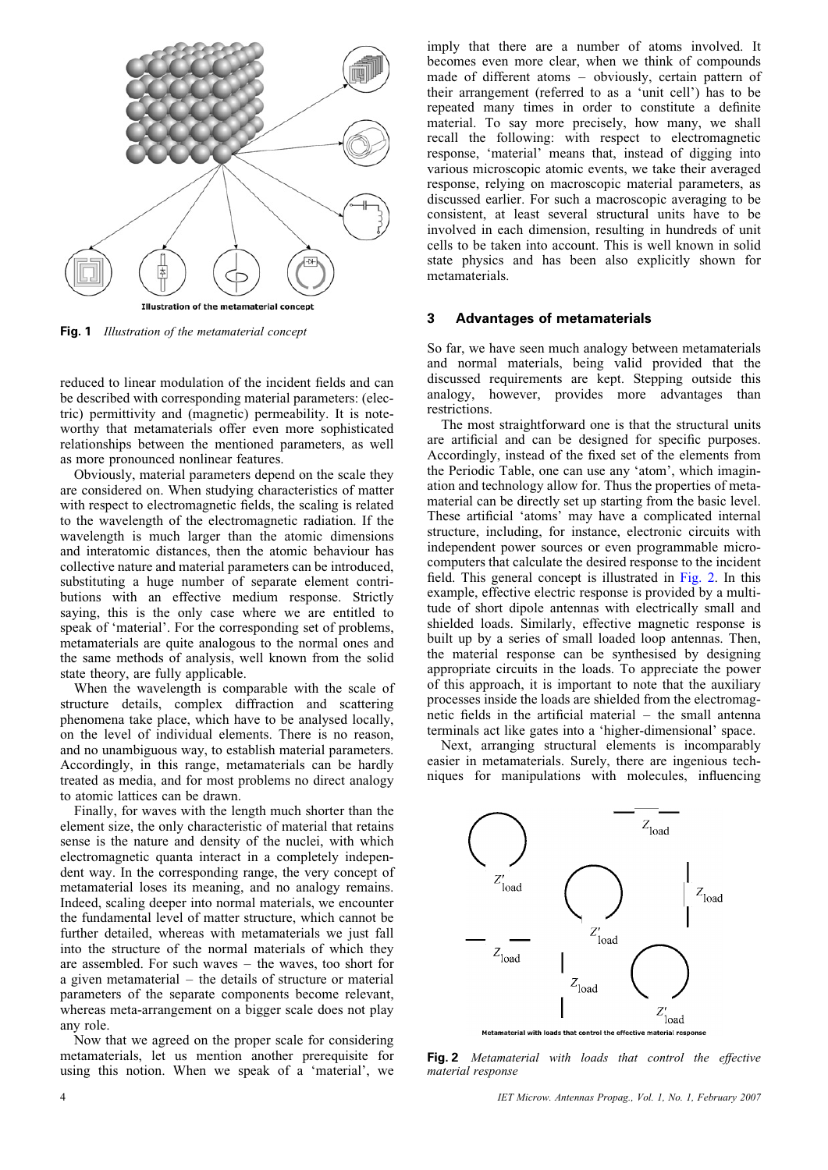<span id="page-1-0"></span>

Fig. 1 Illustration of the metamaterial concept

reduced to linear modulation of the incident fields and can be described with corresponding material parameters: (electric) permittivity and (magnetic) permeability. It is noteworthy that metamaterials offer even more sophisticated relationships between the mentioned parameters, as well as more pronounced nonlinear features.

Obviously, material parameters depend on the scale they are considered on. When studying characteristics of matter with respect to electromagnetic fields, the scaling is related to the wavelength of the electromagnetic radiation. If the wavelength is much larger than the atomic dimensions and interatomic distances, then the atomic behaviour has collective nature and material parameters can be introduced, substituting a huge number of separate element contributions with an effective medium response. Strictly saying, this is the only case where we are entitled to speak of 'material'. For the corresponding set of problems, metamaterials are quite analogous to the normal ones and the same methods of analysis, well known from the solid state theory, are fully applicable.

When the wavelength is comparable with the scale of structure details, complex diffraction and scattering phenomena take place, which have to be analysed locally, on the level of individual elements. There is no reason, and no unambiguous way, to establish material parameters. Accordingly, in this range, metamaterials can be hardly treated as media, and for most problems no direct analogy to atomic lattices can be drawn.

Finally, for waves with the length much shorter than the element size, the only characteristic of material that retains sense is the nature and density of the nuclei, with which electromagnetic quanta interact in a completely independent way. In the corresponding range, the very concept of metamaterial loses its meaning, and no analogy remains. Indeed, scaling deeper into normal materials, we encounter the fundamental level of matter structure, which cannot be further detailed, whereas with metamaterials we just fall into the structure of the normal materials of which they are assembled. For such waves – the waves, too short for a given metamaterial – the details of structure or material parameters of the separate components become relevant, whereas meta-arrangement on a bigger scale does not play any role.

Now that we agreed on the proper scale for considering metamaterials, let us mention another prerequisite for using this notion. When we speak of a 'material', we

imply that there are a number of atoms involved. It becomes even more clear, when we think of compounds made of different atoms – obviously, certain pattern of their arrangement (referred to as a 'unit cell') has to be repeated many times in order to constitute a definite material. To say more precisely, how many, we shall recall the following: with respect to electromagnetic response, 'material' means that, instead of digging into various microscopic atomic events, we take their averaged response, relying on macroscopic material parameters, as discussed earlier. For such a macroscopic averaging to be consistent, at least several structural units have to be involved in each dimension, resulting in hundreds of unit cells to be taken into account. This is well known in solid state physics and has been also explicitly shown for metamaterials.

## 3 Advantages of metamaterials

So far, we have seen much analogy between metamaterials and normal materials, being valid provided that the discussed requirements are kept. Stepping outside this analogy, however, provides more advantages than restrictions.

The most straightforward one is that the structural units are artificial and can be designed for specific purposes. Accordingly, instead of the fixed set of the elements from the Periodic Table, one can use any 'atom', which imagination and technology allow for. Thus the properties of metamaterial can be directly set up starting from the basic level. These artificial 'atoms' may have a complicated internal structure, including, for instance, electronic circuits with independent power sources or even programmable microcomputers that calculate the desired response to the incident field. This general concept is illustrated in Fig. 2. In this example, effective electric response is provided by a multitude of short dipole antennas with electrically small and shielded loads. Similarly, effective magnetic response is built up by a series of small loaded loop antennas. Then, the material response can be synthesised by designing appropriate circuits in the loads. To appreciate the power of this approach, it is important to note that the auxiliary processes inside the loads are shielded from the electromagnetic fields in the artificial material – the small antenna terminals act like gates into a 'higher-dimensional' space.

Next, arranging structural elements is incomparably easier in metamaterials. Surely, there are ingenious techniques for manipulations with molecules, influencing



Fig. 2 Metamaterial with loads that control the effective material response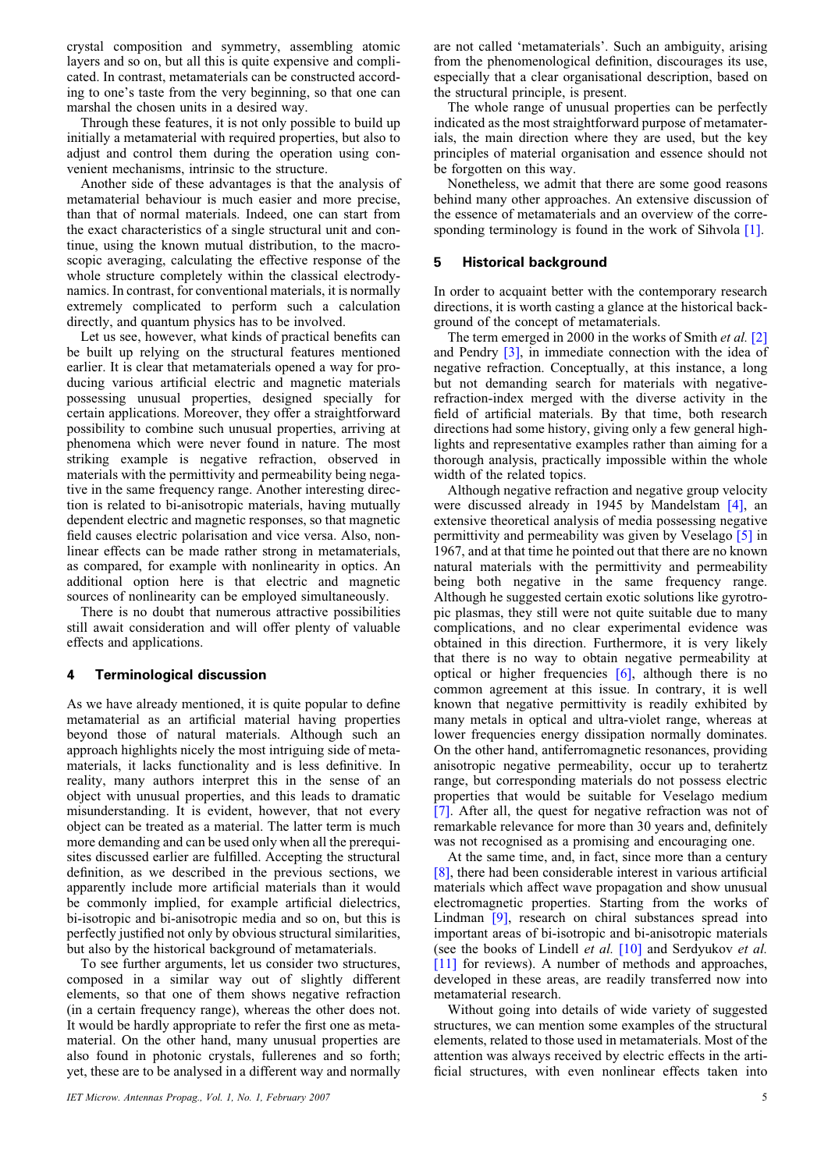crystal composition and symmetry, assembling atomic layers and so on, but all this is quite expensive and complicated. In contrast, metamaterials can be constructed according to one's taste from the very beginning, so that one can marshal the chosen units in a desired way.

Through these features, it is not only possible to build up initially a metamaterial with required properties, but also to adjust and control them during the operation using convenient mechanisms, intrinsic to the structure.

Another side of these advantages is that the analysis of metamaterial behaviour is much easier and more precise, than that of normal materials. Indeed, one can start from the exact characteristics of a single structural unit and continue, using the known mutual distribution, to the macroscopic averaging, calculating the effective response of the whole structure completely within the classical electrodynamics. In contrast, for conventional materials, it is normally extremely complicated to perform such a calculation directly, and quantum physics has to be involved.

Let us see, however, what kinds of practical benefits can be built up relying on the structural features mentioned earlier. It is clear that metamaterials opened a way for producing various artificial electric and magnetic materials possessing unusual properties, designed specially for certain applications. Moreover, they offer a straightforward possibility to combine such unusual properties, arriving at phenomena which were never found in nature. The most striking example is negative refraction, observed in materials with the permittivity and permeability being negative in the same frequency range. Another interesting direction is related to bi-anisotropic materials, having mutually dependent electric and magnetic responses, so that magnetic field causes electric polarisation and vice versa. Also, nonlinear effects can be made rather strong in metamaterials, as compared, for example with nonlinearity in optics. An additional option here is that electric and magnetic sources of nonlinearity can be employed simultaneously.

There is no doubt that numerous attractive possibilities still await consideration and will offer plenty of valuable effects and applications.

# 4 Terminological discussion

As we have already mentioned, it is quite popular to define metamaterial as an artificial material having properties beyond those of natural materials. Although such an approach highlights nicely the most intriguing side of metamaterials, it lacks functionality and is less definitive. In reality, many authors interpret this in the sense of an object with unusual properties, and this leads to dramatic misunderstanding. It is evident, however, that not every object can be treated as a material. The latter term is much more demanding and can be used only when all the prerequisites discussed earlier are fulfilled. Accepting the structural definition, as we described in the previous sections, we apparently include more artificial materials than it would be commonly implied, for example artificial dielectrics, bi-isotropic and bi-anisotropic media and so on, but this is perfectly justified not only by obvious structural similarities, but also by the historical background of metamaterials.

To see further arguments, let us consider two structures, composed in a similar way out of slightly different elements, so that one of them shows negative refraction (in a certain frequency range), whereas the other does not. It would be hardly appropriate to refer the first one as metamaterial. On the other hand, many unusual properties are also found in photonic crystals, fullerenes and so forth; yet, these are to be analysed in a different way and normally are not called 'metamaterials'. Such an ambiguity, arising from the phenomenological definition, discourages its use, especially that a clear organisational description, based on the structural principle, is present.

The whole range of unusual properties can be perfectly indicated as the most straightforward purpose of metamaterials, the main direction where they are used, but the key principles of material organisation and essence should not be forgotten on this way.

Nonetheless, we admit that there are some good reasons behind many other approaches. An extensive discussion of the essence of metamaterials and an overview of the corresponding terminology is found in the work of Sihvola [\[1\]](#page-5-0).

## 5 Historical background

In order to acquaint better with the contemporary research directions, it is worth casting a glance at the historical background of the concept of metamaterials.

The term emerged in 2000 in the works of Smith *et al.* [\[2\]](#page-5-0) and Pendry [\[3\],](#page-5-0) in immediate connection with the idea of negative refraction. Conceptually, at this instance, a long but not demanding search for materials with negativerefraction-index merged with the diverse activity in the field of artificial materials. By that time, both research directions had some history, giving only a few general highlights and representative examples rather than aiming for a thorough analysis, practically impossible within the whole width of the related topics.

Although negative refraction and negative group velocity were discussed already in 1945 by Mandelstam [\[4\],](#page-5-0) an extensive theoretical analysis of media possessing negative permittivity and permeability was given by Veselago [\[5\]](#page-5-0) in 1967, and at that time he pointed out that there are no known natural materials with the permittivity and permeability being both negative in the same frequency range. Although he suggested certain exotic solutions like gyrotropic plasmas, they still were not quite suitable due to many complications, and no clear experimental evidence was obtained in this direction. Furthermore, it is very likely that there is no way to obtain negative permeability at optical or higher frequencies [\[6\]](#page-5-0), although there is no common agreement at this issue. In contrary, it is well known that negative permittivity is readily exhibited by many metals in optical and ultra-violet range, whereas at lower frequencies energy dissipation normally dominates. On the other hand, antiferromagnetic resonances, providing anisotropic negative permeability, occur up to terahertz range, but corresponding materials do not possess electric properties that would be suitable for Veselago medium [\[7\].](#page-5-0) After all, the quest for negative refraction was not of remarkable relevance for more than 30 years and, definitely was not recognised as a promising and encouraging one.

At the same time, and, in fact, since more than a century [\[8\],](#page-5-0) there had been considerable interest in various artificial materials which affect wave propagation and show unusual electromagnetic properties. Starting from the works of Lindman [\[9\]](#page-5-0), research on chiral substances spread into important areas of bi-isotropic and bi-anisotropic materials (see the books of Lindell et al. [\[10\]](#page-5-0) and Serdyukov et al. [\[11\]](#page-5-0) for reviews). A number of methods and approaches, developed in these areas, are readily transferred now into metamaterial research.

Without going into details of wide variety of suggested structures, we can mention some examples of the structural elements, related to those used in metamaterials. Most of the attention was always received by electric effects in the artificial structures, with even nonlinear effects taken into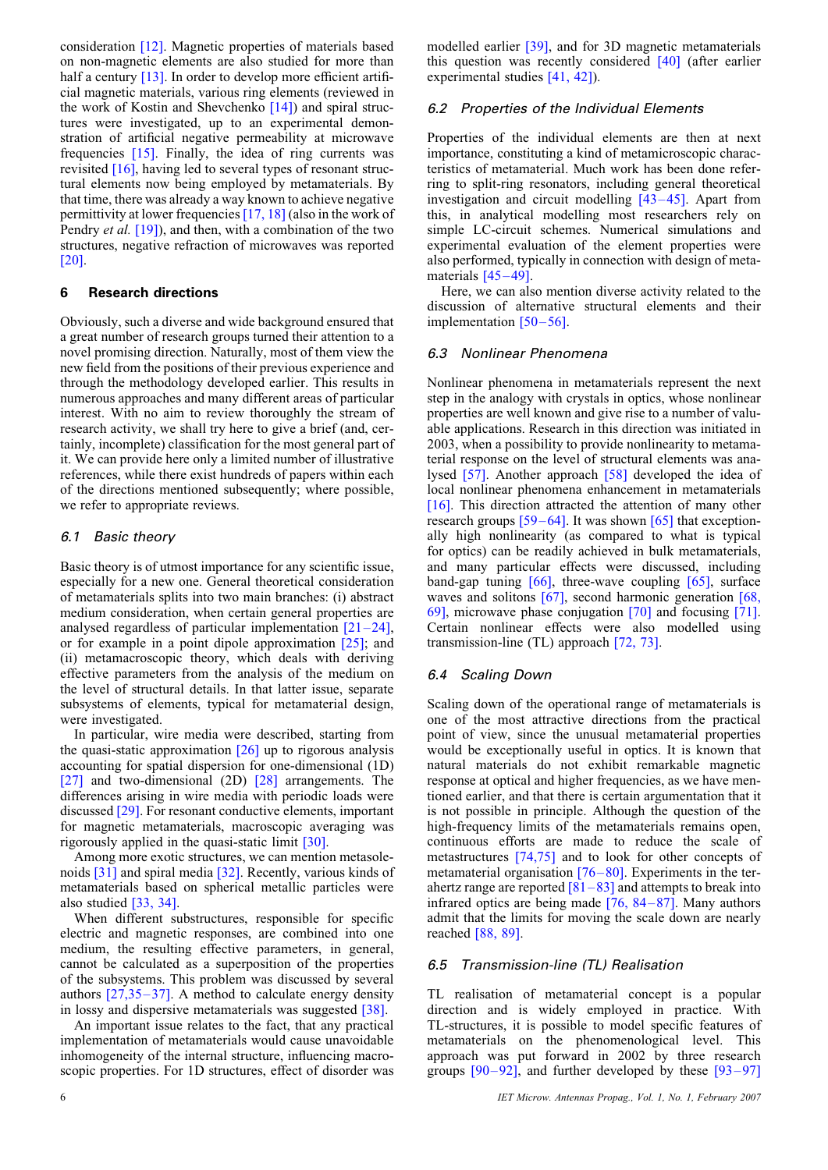consideration [\[12\].](#page-5-0) Magnetic properties of materials based on non-magnetic elements are also studied for more than half a century [\[13\]](#page-5-0). In order to develop more efficient artificial magnetic materials, various ring elements (reviewed in the work of Kostin and Shevchenko [\[14\]\)](#page-5-0) and spiral structures were investigated, up to an experimental demonstration of artificial negative permeability at microwave frequencies [\[15\].](#page-5-0) Finally, the idea of ring currents was revisited [\[16\]](#page-5-0), having led to several types of resonant structural elements now being employed by metamaterials. By that time, there was already a way known to achieve negative permittivity at lower frequencies[\[17, 18\]](#page-5-0) (also in the work of Pendry *et al.* [\[19\]\)](#page-5-0), and then, with a combination of the two structures, negative refraction of microwaves was reported [\[20\].](#page-5-0)

## 6 Research directions

Obviously, such a diverse and wide background ensured that a great number of research groups turned their attention to a novel promising direction. Naturally, most of them view the new field from the positions of their previous experience and through the methodology developed earlier. This results in numerous approaches and many different areas of particular interest. With no aim to review thoroughly the stream of research activity, we shall try here to give a brief (and, certainly, incomplete) classification for the most general part of it. We can provide here only a limited number of illustrative references, while there exist hundreds of papers within each of the directions mentioned subsequently; where possible, we refer to appropriate reviews.

## 6.1 Basic theory

Basic theory is of utmost importance for any scientific issue, especially for a new one. General theoretical consideration of metamaterials splits into two main branches: (i) abstract medium consideration, when certain general properties are analysed regardless of particular implementation  $[21-24]$ , or for example in a point dipole approximation [\[25\]](#page-5-0); and (ii) metamacroscopic theory, which deals with deriving effective parameters from the analysis of the medium on the level of structural details. In that latter issue, separate subsystems of elements, typical for metamaterial design, were investigated.

In particular, wire media were described, starting from the quasi-static approximation  $[26]$  up to rigorous analysis accounting for spatial dispersion for one-dimensional (1D) [\[27\]](#page-5-0) and two-dimensional (2D) [\[28\]](#page-5-0) arrangements. The differences arising in wire media with periodic loads were discussed [\[29\].](#page-6-0) For resonant conductive elements, important for magnetic metamaterials, macroscopic averaging was rigorously applied in the quasi-static limit [\[30\]](#page-6-0).

Among more exotic structures, we can mention metasolenoids [\[31\]](#page-6-0) and spiral media [\[32\].](#page-6-0) Recently, various kinds of metamaterials based on spherical metallic particles were also studied [\[33, 34\].](#page-6-0)

When different substructures, responsible for specific electric and magnetic responses, are combined into one medium, the resulting effective parameters, in general, cannot be calculated as a superposition of the properties of the subsystems. This problem was discussed by several authors  $[27,35-37]$ . A method to calculate energy density in lossy and dispersive metamaterials was suggested [\[38\].](#page-6-0)

An important issue relates to the fact, that any practical implementation of metamaterials would cause unavoidable inhomogeneity of the internal structure, influencing macroscopic properties. For 1D structures, effect of disorder was modelled earlier [\[39\],](#page-6-0) and for 3D magnetic metamaterials this question was recently considered [\[40\]](#page-6-0) (after earlier experimental studies [\[41, 42\]](#page-6-0)).

## 6.2 Properties of the Individual Elements

Properties of the individual elements are then at next importance, constituting a kind of metamicroscopic characteristics of metamaterial. Much work has been done referring to split-ring resonators, including general theoretical investigation and circuit modelling  $[43-45]$ . Apart from this, in analytical modelling most researchers rely on simple LC-circuit schemes. Numerical simulations and experimental evaluation of the element properties were also performed, typically in connection with design of metamaterials  $[45-49]$ .

Here, we can also mention diverse activity related to the discussion of alternative structural elements and their implementation  $[50 - 56]$ .

#### 6.3 Nonlinear Phenomena

Nonlinear phenomena in metamaterials represent the next step in the analogy with crystals in optics, whose nonlinear properties are well known and give rise to a number of valuable applications. Research in this direction was initiated in 2003, when a possibility to provide nonlinearity to metamaterial response on the level of structural elements was analysed [\[57\]](#page-6-0). Another approach [\[58\]](#page-6-0) developed the idea of local nonlinear phenomena enhancement in metamaterials [\[16\].](#page-5-0) This direction attracted the attention of many other research groups  $[59-64]$ . It was shown  $[65]$  that exceptionally high nonlinearity (as compared to what is typical for optics) can be readily achieved in bulk metamaterials, and many particular effects were discussed, including band-gap tuning [\[66\],](#page-6-0) three-wave coupling [\[65\],](#page-6-0) surface waves and solitons [\[67\],](#page-6-0) second harmonic generation [\[68,](#page-6-0) [69\],](#page-6-0) microwave phase conjugation [\[70\]](#page-6-0) and focusing [\[71\].](#page-6-0) Certain nonlinear effects were also modelled using transmission-line (TL) approach [\[72, 73\].](#page-6-0)

# 6.4 Scaling Down

Scaling down of the operational range of metamaterials is one of the most attractive directions from the practical point of view, since the unusual metamaterial properties would be exceptionally useful in optics. It is known that natural materials do not exhibit remarkable magnetic response at optical and higher frequencies, as we have mentioned earlier, and that there is certain argumentation that it is not possible in principle. Although the question of the high-frequency limits of the metamaterials remains open, continuous efforts are made to reduce the scale of metastructures [\[74,75\]](#page-6-0) and to look for other concepts of metamaterial organisation  $[76 - 80]$ . Experiments in the terahertz range are reported  $[81-83]$  and attempts to break into infrared optics are being made  $[76, 84-87]$ . Many authors admit that the limits for moving the scale down are nearly reached [\[88, 89\].](#page-7-0)

## 6.5 Transmission-line (TL) Realisation

TL realisation of metamaterial concept is a popular direction and is widely employed in practice. With TL-structures, it is possible to model specific features of metamaterials on the phenomenological level. This approach was put forward in 2002 by three research groups  $[90-92]$ , and further developed by these  $[93-97]$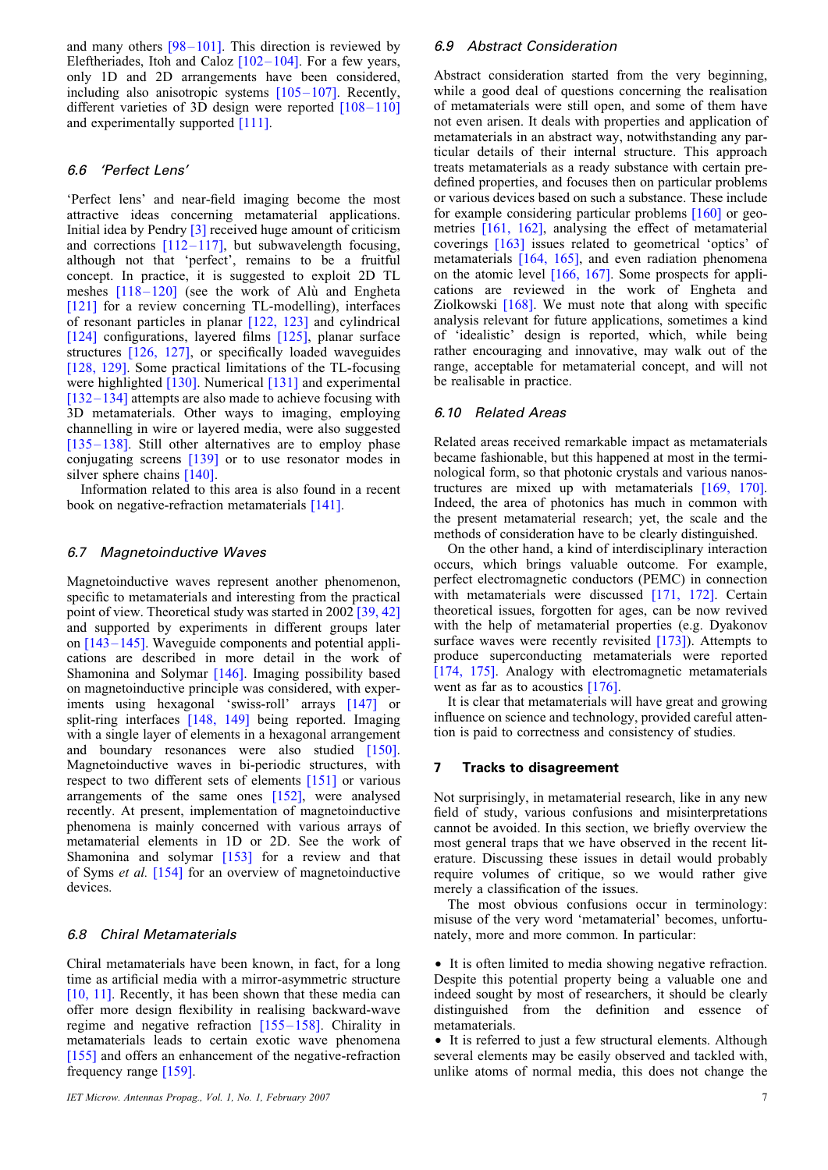and many others  $[98-101]$ . This direction is reviewed by Eleftheriades, Itoh and Caloz  $[102-104]$ . For a few years, only 1D and 2D arrangements have been considered, including also anisotropic systems  $[105-107]$ . Recently, different varieties of 3D design were reported  $[108-110]$ and experimentally supported [\[111\]](#page-7-0).

## 6.6 'Perfect Lens'

'Perfect lens' and near-field imaging become the most attractive ideas concerning metamaterial applications. Initial idea by Pendry [\[3\]](#page-5-0) received huge amount of criticism and corrections  $[112-117]$ , but subwavelength focusing, although not that 'perfect', remains to be a fruitful concept. In practice, it is suggested to exploit 2D TL meshes  $[118-120]$  (see the work of Alu` and Engheta [\[121\]](#page-7-0) for a review concerning TL-modelling), interfaces of resonant particles in planar [\[122, 123\]](#page-7-0) and cylindrical [\[124\]](#page-7-0) configurations, layered films [\[125\]](#page-7-0), planar surface structures [\[126, 127\],](#page-7-0) or specifically loaded waveguides [\[128, 129\]](#page-7-0). Some practical limitations of the TL-focusing were highlighted [\[130\].](#page-8-0) Numerical [\[131\]](#page-8-0) and experimental  $[132 - 134]$  attempts are also made to achieve focusing with 3D metamaterials. Other ways to imaging, employing channelling in wire or layered media, were also suggested  $[135 - 138]$ . Still other alternatives are to employ phase conjugating screens [\[139\]](#page-8-0) or to use resonator modes in silver sphere chains [\[140\]](#page-8-0).

Information related to this area is also found in a recent book on negative-refraction metamaterials [\[141\]](#page-8-0).

## 6.7 Magnetoinductive Waves

Magnetoinductive waves represent another phenomenon, specific to metamaterials and interesting from the practical point of view. Theoretical study was started in 2002 [\[39, 42\]](#page-6-0) and supported by experiments in different groups later on [\[143 –145\]](#page-8-0). Waveguide components and potential applications are described in more detail in the work of Shamonina and Solymar [\[146\]](#page-8-0). Imaging possibility based on magnetoinductive principle was considered, with experiments using hexagonal 'swiss-roll' arrays [\[147\]](#page-8-0) or split-ring interfaces [\[148, 149\]](#page-8-0) being reported. Imaging with a single layer of elements in a hexagonal arrangement and boundary resonances were also studied [\[150\].](#page-8-0) Magnetoinductive waves in bi-periodic structures, with respect to two different sets of elements [\[151\]](#page-8-0) or various arrangements of the same ones [\[152\]](#page-8-0), were analysed recently. At present, implementation of magnetoinductive phenomena is mainly concerned with various arrays of metamaterial elements in 1D or 2D. See the work of Shamonina and solymar [\[153\]](#page-8-0) for a review and that of Syms et al. [\[154\]](#page-8-0) for an overview of magnetoinductive devices.

### 6.8 Chiral Metamaterials

Chiral metamaterials have been known, in fact, for a long time as artificial media with a mirror-asymmetric structure [\[10, 11\]](#page-5-0). Recently, it has been shown that these media can offer more design flexibility in realising backward-wave regime and negative refraction [\[155 – 158\]](#page-8-0). Chirality in metamaterials leads to certain exotic wave phenomena [\[155\]](#page-8-0) and offers an enhancement of the negative-refraction frequency range [\[159\]](#page-8-0).

#### 6.9 Abstract Consideration

Abstract consideration started from the very beginning, while a good deal of questions concerning the realisation of metamaterials were still open, and some of them have not even arisen. It deals with properties and application of metamaterials in an abstract way, notwithstanding any particular details of their internal structure. This approach treats metamaterials as a ready substance with certain predefined properties, and focuses then on particular problems or various devices based on such a substance. These include for example considering particular problems [\[160\]](#page-8-0) or geometries [\[161, 162\],](#page-8-0) analysing the effect of metamaterial coverings [\[163\]](#page-8-0) issues related to geometrical 'optics' of metamaterials [\[164, 165\]](#page-8-0), and even radiation phenomena on the atomic level [\[166, 167\].](#page-8-0) Some prospects for applications are reviewed in the work of Engheta and Ziolkowski  $[168]$ . We must note that along with specific analysis relevant for future applications, sometimes a kind of 'idealistic' design is reported, which, while being rather encouraging and innovative, may walk out of the range, acceptable for metamaterial concept, and will not be realisable in practice.

#### 6.10 Related Areas

Related areas received remarkable impact as metamaterials became fashionable, but this happened at most in the terminological form, so that photonic crystals and various nanostructures are mixed up with metamaterials [\[169, 170\]](#page-8-0). Indeed, the area of photonics has much in common with the present metamaterial research; yet, the scale and the methods of consideration have to be clearly distinguished.

On the other hand, a kind of interdisciplinary interaction occurs, which brings valuable outcome. For example, perfect electromagnetic conductors (PEMC) in connection with metamaterials were discussed [\[171, 172\].](#page-8-0) Certain theoretical issues, forgotten for ages, can be now revived with the help of metamaterial properties (e.g. Dyakonov surface waves were recently revisited [\[173\]\)](#page-8-0). Attempts to produce superconducting metamaterials were reported [\[174, 175\]](#page-8-0). Analogy with electromagnetic metamaterials went as far as to acoustics [\[176\]](#page-8-0).

It is clear that metamaterials will have great and growing influence on science and technology, provided careful attention is paid to correctness and consistency of studies.

# 7 Tracks to disagreement

Not surprisingly, in metamaterial research, like in any new field of study, various confusions and misinterpretations cannot be avoided. In this section, we briefly overview the most general traps that we have observed in the recent literature. Discussing these issues in detail would probably require volumes of critique, so we would rather give merely a classification of the issues.

The most obvious confusions occur in terminology: misuse of the very word 'metamaterial' becomes, unfortunately, more and more common. In particular:

<sup>•</sup> It is often limited to media showing negative refraction. Despite this potential property being a valuable one and indeed sought by most of researchers, it should be clearly distinguished from the definition and essence of metamaterials.

<sup>•</sup> It is referred to just a few structural elements. Although several elements may be easily observed and tackled with, unlike atoms of normal media, this does not change the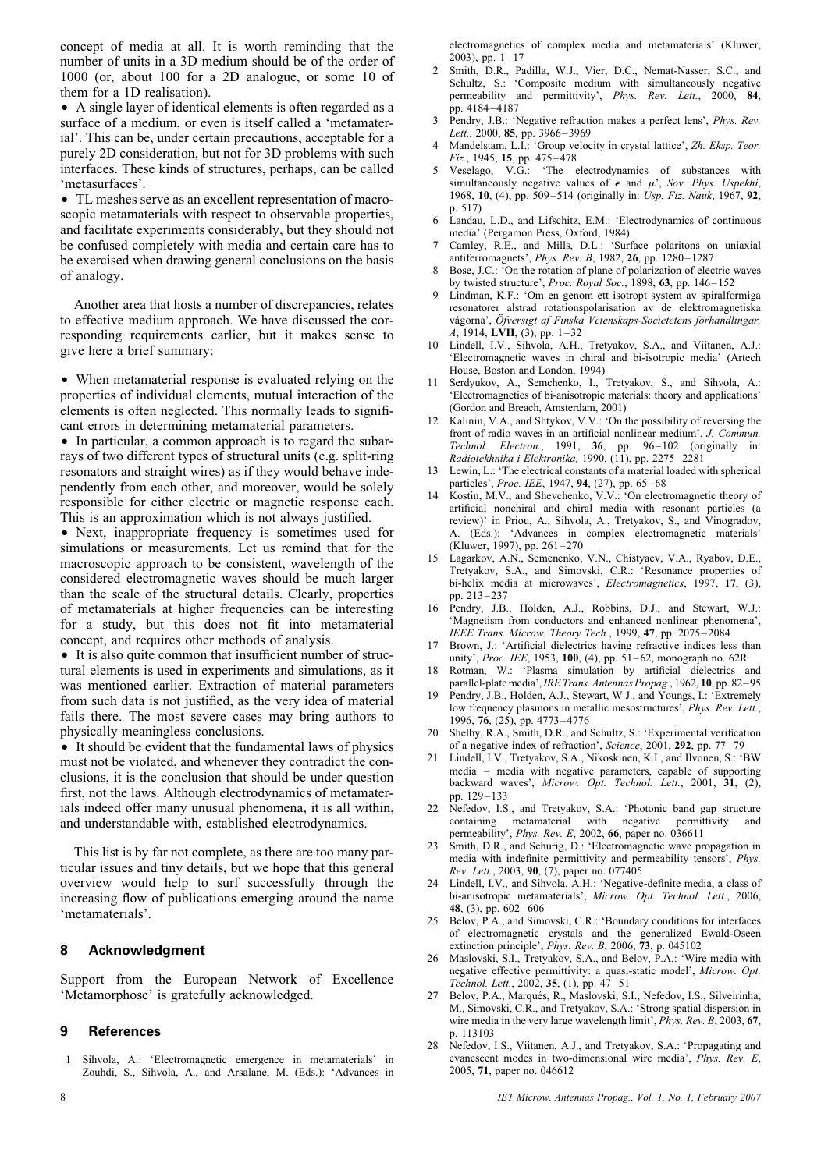<span id="page-5-0"></span>concept of media at all. It is worth reminding that the number of units in a 3D medium should be of the order of 1000 (or, about 100 for a 2D analogue, or some 10 of them for a 1D realisation).

• A single layer of identical elements is often regarded as a surface of a medium, or even is itself called a 'metamaterial'. This can be, under certain precautions, acceptable for a purely 2D consideration, but not for 3D problems with such interfaces. These kinds of structures, perhaps, can be called 'metasurfaces'.

• TL meshes serve as an excellent representation of macroscopic metamaterials with respect to observable properties, and facilitate experiments considerably, but they should not be confused completely with media and certain care has to be exercised when drawing general conclusions on the basis of analogy.

Another area that hosts a number of discrepancies, relates to effective medium approach. We have discussed the corresponding requirements earlier, but it makes sense to give here a brief summary:

• When metamaterial response is evaluated relying on the properties of individual elements, mutual interaction of the elements is often neglected. This normally leads to significant errors in determining metamaterial parameters.

• In particular, a common approach is to regard the subarrays of two different types of structural units (e.g. split-ring resonators and straight wires) as if they would behave independently from each other, and moreover, would be solely responsible for either electric or magnetic response each. This is an approximation which is not always justified.

• Next, inappropriate frequency is sometimes used for simulations or measurements. Let us remind that for the macroscopic approach to be consistent, wavelength of the considered electromagnetic waves should be much larger than the scale of the structural details. Clearly, properties of metamaterials at higher frequencies can be interesting for a study, but this does not fit into metamaterial concept, and requires other methods of analysis.

• It is also quite common that insufficient number of structural elements is used in experiments and simulations, as it was mentioned earlier. Extraction of material parameters from such data is not justified, as the very idea of material fails there. The most severe cases may bring authors to physically meaningless conclusions.

• It should be evident that the fundamental laws of physics must not be violated, and whenever they contradict the conclusions, it is the conclusion that should be under question first, not the laws. Although electrodynamics of metamaterials indeed offer many unusual phenomena, it is all within, and understandable with, established electrodynamics.

This list is by far not complete, as there are too many particular issues and tiny details, but we hope that this general overview would help to surf successfully through the increasing flow of publications emerging around the name 'metamaterials'.

## 8 Acknowledgment

Support from the European Network of Excellence 'Metamorphose' is gratefully acknowledged.

#### 9 References

1 Sihvola, A.: 'Electromagnetic emergence in metamaterials' in Zouhdi, S., Sihvola, A., and Arsalane, M. (Eds.): 'Advances in electromagnetics of complex media and metamaterials' (Kluwer, 2003), pp.  $1 - 17$ 

- 2 Smith, D.R., Padilla, W.J., Vier, D.C., Nemat-Nasser, S.C., and Schultz, S.: 'Composite medium with simultaneously negative permeability and permittivity', Phys. Rev. Lett., 2000, 84, pp. 4184– 4187
- 3 Pendry, J.B.: 'Negative refraction makes a perfect lens', Phys. Rev. Lett., 2000, 85, pp. 3966–3969
- 4 Mandelstam, L.I.: 'Group velocity in crystal lattice', Zh. Eksp. Teor. Fiz., 1945, 15, pp. 475-478
- 5 Veselago, V.G.: 'The electrodynamics of substances with simultaneously negative values of  $\epsilon$  and  $\mu$ ', Sov. Phys. Uspekhi, 1968, 10, (4), pp. 509–514 (originally in: Usp. Fiz. Nauk, 1967, 92, p. 517)
- 6 Landau, L.D., and Lifschitz, E.M.: 'Electrodynamics of continuous media' (Pergamon Press, Oxford, 1984)
- 7 Camley, R.E., and Mills, D.L.: 'Surface polaritons on uniaxial antiferromagnets', Phys. Rev. B, 1982, 26, pp. 1280–1287
- 8 Bose, J.C.: 'On the rotation of plane of polarization of electric waves by twisted structure', Proc. Royal Soc., 1898, 63, pp. 146– 152
- Lindman, K.F.: 'Om en genom ett isotropt system av spiralformiga resonatorer alstrad rotationspolarisation av de elektromagnetiska vågorna', Öfversigt af Finska Vetenskaps-Societetens förhandlingar, A, 1914, LVII, (3), pp. 1-32
- 10 Lindell, I.V., Sihvola, A.H., Tretyakov, S.A., and Viitanen, A.J.: 'Electromagnetic waves in chiral and bi-isotropic media' (Artech House, Boston and London, 1994)
- 11 Serdyukov, A., Semchenko, I., Tretyakov, S., and Sihvola, A.: 'Electromagnetics of bi-anisotropic materials: theory and applications' (Gordon and Breach, Amsterdam, 2001)
- 12 Kalinin, V.A., and Shtykov, V.V.: 'On the possibility of reversing the front of radio waves in an artificial nonlinear medium', J. Commun. Technol. Electron., 1991, 36, pp. 96-102 (originally in: Radiotekhnika i Elektronika, 1990, (11), pp. 2275–2281
- 13 Lewin, L.: 'The electrical constants of a material loaded with spherical particles', *Proc. IEE*, 1947, 94, (27), pp. 65–68
- 14 Kostin, M.V., and Shevchenko, V.V.: 'On electromagnetic theory of artificial nonchiral and chiral media with resonant particles (a review)' in Priou, A., Sihvola, A., Tretyakov, S., and Vinogradov, A. (Eds.): 'Advances in complex electromagnetic materials' (Kluwer, 1997), pp. 261–270
- 15 Lagarkov, A.N., Semenenko, V.N., Chistyaev, V.A., Ryabov, D.E., Tretyakov, S.A., and Simovski, C.R.: 'Resonance properties of bi-helix media at microwaves', Electromagnetics, 1997, 17, (3), pp. 213– 237
- 16 Pendry, J.B., Holden, A.J., Robbins, D.J., and Stewart, W.J.: 'Magnetism from conductors and enhanced nonlinear phenomena', IEEE Trans. Microw. Theory Tech., 1999, 47, pp. 2075– 2084
- 17 Brown, J.: 'Artificial dielectrics having refractive indices less than unity', Proc. IEE, 1953, 100, (4), pp. 51-62, monograph no. 62R
- 18 Rotman, W.: 'Plasma simulation by artificial dielectrics and parallel-plate media',IRE Trans. Antennas Propag., 1962, 10, pp. 82–95
- 19 Pendry, J.B., Holden, A.J., Stewart, W.J., and Youngs, I.: 'Extremely low frequency plasmons in metallic mesostructures', Phys. Rev. Lett., 1996, 76, (25), pp. 4773–4776
- 20 Shelby, R.A., Smith, D.R., and Schultz, S.: 'Experimental verification of a negative index of refraction', Science, 2001, 292, pp. 77– 79
- 21 Lindell, I.V., Tretyakov, S.A., Nikoskinen, K.I., and Ilvonen, S.: 'BW media – media with negative parameters, capable of supporting backward waves', Microw. Opt. Technol. Lett., 2001, 31, (2), pp. 129– 133
- 22 Nefedov, I.S., and Tretyakov, S.A.: 'Photonic band gap structure containing metamaterial with negative permittivity and permeability', Phys. Rev. E, 2002, 66, paper no. 036611
- 23 Smith, D.R., and Schurig, D.: 'Electromagnetic wave propagation in media with indefinite permittivity and permeability tensors', Phys. Rev. Lett., 2003, 90, (7), paper no. 077405
- 24 Lindell, I.V., and Sihvola, A.H.: 'Negative-definite media, a class of bi-anisotropic metamaterials', Microw. Opt. Technol. Lett., 2006, 48, (3), pp. 602–606
- 25 Belov, P.A., and Simovski, C.R.: 'Boundary conditions for interfaces of electromagnetic crystals and the generalized Ewald-Oseen extinction principle', Phys. Rev. B, 2006, 73, p. 045102
- 26 Maslovski, S.I., Tretyakov, S.A., and Belov, P.A.: 'Wire media with negative effective permittivity: a quasi-static model', Microw. Opt. Technol. Lett., 2002, 35, (1), pp.  $47-51$
- 27 Belov, P.A., Marqués, R., Maslovski, S.I., Nefedov, I.S., Silveirinha, M., Simovski, C.R., and Tretyakov, S.A.: 'Strong spatial dispersion in wire media in the very large wavelength limit', Phys. Rev. B, 2003, 67, p. 113103
- 28 Nefedov, I.S., Viitanen, A.J., and Tretyakov, S.A.: 'Propagating and evanescent modes in two-dimensional wire media', Phys. Rev. E, 2005, 71, paper no. 046612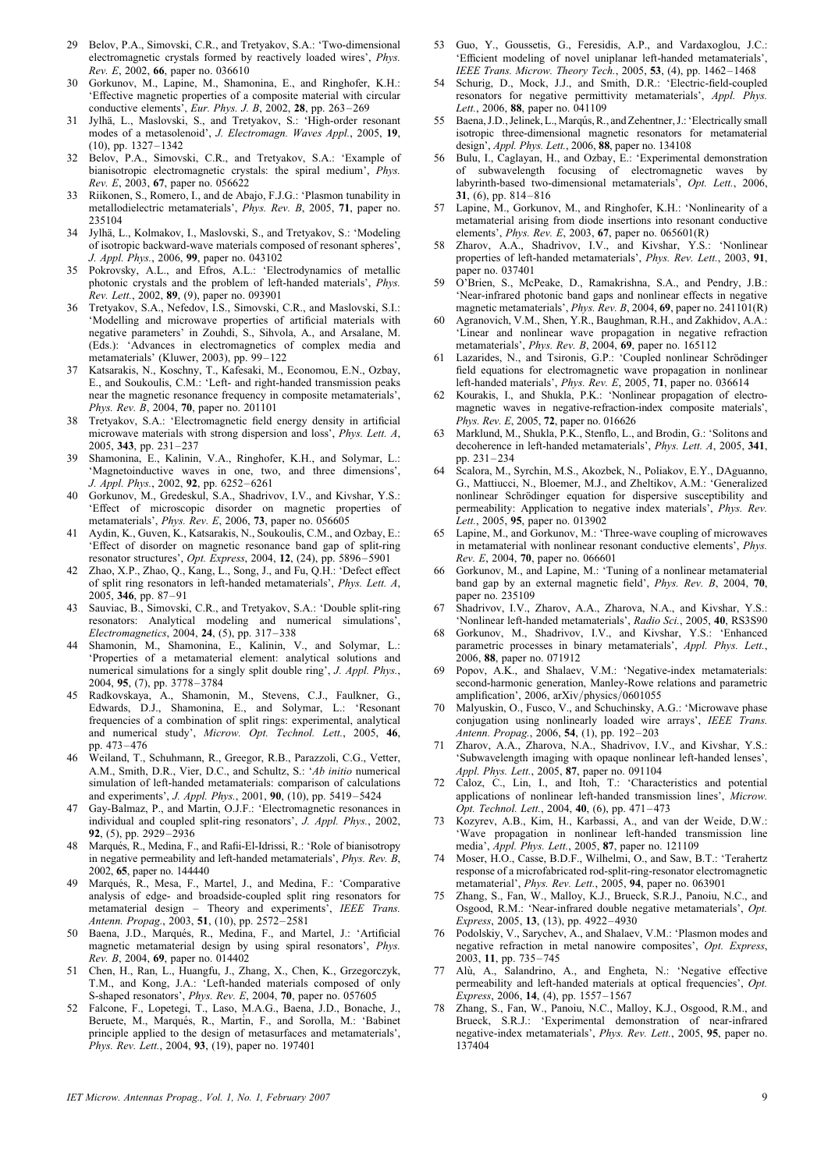- <span id="page-6-0"></span>29 Belov, P.A., Simovski, C.R., and Tretyakov, S.A.: 'Two-dimensional electromagnetic crystals formed by reactively loaded wires', Phys. Rev. E, 2002, 66, paper no. 036610
- 30 Gorkunov, M., Lapine, M., Shamonina, E., and Ringhofer, K.H.: 'Effective magnetic properties of a composite material with circular conductive elements', *Eur. Phys. J. B*, 2002, **28**, pp. 263-269
- 31 Jylhä, L., Maslovski, S., and Tretyakov, S.: 'High-order resonant modes of a metasolenoid', J. Electromagn. Waves Appl., 2005, 19, (10), pp. 1327– 1342
- 32 Belov, P.A., Simovski, C.R., and Tretyakov, S.A.: 'Example of bianisotropic electromagnetic crystals: the spiral medium', Phys. Rev. E, 2003, 67, paper no. 056622
- 33 Riikonen, S., Romero, I., and de Abajo, F.J.G.: 'Plasmon tunability in metallodielectric metamaterials', Phys. Rev. B, 2005, 71, paper no. 235104
- 34 Jylhä, L., Kolmakov, I., Maslovski, S., and Tretyakov, S.: 'Modeling of isotropic backward-wave materials composed of resonant spheres', J. Appl. Phys., 2006, 99, paper no. 043102
- 35 Pokrovsky, A.L., and Efros, A.L.: 'Electrodynamics of metallic photonic crystals and the problem of left-handed materials', Phys. Rev. Lett., 2002, 89, (9), paper no. 093901
- 36 Tretyakov, S.A., Nefedov, I.S., Simovski, C.R., and Maslovski, S.I.: 'Modelling and microwave properties of artificial materials with negative parameters' in Zouhdi, S., Sihvola, A., and Arsalane, M. (Eds.): 'Advances in electromagnetics of complex media and metamaterials' (Kluwer, 2003), pp. 99– 122
- 37 Katsarakis, N., Koschny, T., Kafesaki, M., Economou, E.N., Ozbay, E., and Soukoulis, C.M.: 'Left- and right-handed transmission peaks near the magnetic resonance frequency in composite metamaterials', Phys. Rev. B, 2004, 70, paper no. 201101
- 38 Tretyakov, S.A.: 'Electromagnetic field energy density in artificial microwave materials with strong dispersion and loss', Phys. Lett. A, 2005, 343, pp. 231–237
- 39 Shamonina, E., Kalinin, V.A., Ringhofer, K.H., and Solymar, L.: 'Magnetoinductive waves in one, two, and three dimensions', J. Appl. Phys., 2002, 92, pp. 6252-6261
- 40 Gorkunov, M., Gredeskul, S.A., Shadrivov, I.V., and Kivshar, Y.S.: 'Effect of microscopic disorder on magnetic properties of metamaterials', Phys. Rev. E, 2006, 73, paper no. 056605
- 41 Aydin, K., Guven, K., Katsarakis, N., Soukoulis, C.M., and Ozbay, E.: 'Effect of disorder on magnetic resonance band gap of split-ring resonator structures', Opt. Express, 2004, 12, (24), pp. 5896-5901
- 42 Zhao, X.P., Zhao, Q., Kang, L., Song, J., and Fu, Q.H.: 'Defect effect of split ring resonators in left-handed metamaterials', Phys. Lett. A, 2005, 346, pp. 87–91
- 43 Sauviac, B., Simovski, C.R., and Tretyakov, S.A.: 'Double split-ring resonators: Analytical modeling and numerical simulations', Electromagnetics, 2004, 24, (5), pp. 317–338
- 44 Shamonin, M., Shamonina, E., Kalinin, V., and Solymar, L.: 'Properties of a metamaterial element: analytical solutions and numerical simulations for a singly split double ring', J. Appl. Phys., 2004, 95, (7), pp. 3778–3784
- 45 Radkovskaya, A., Shamonin, M., Stevens, C.J., Faulkner, G., Edwards, D.J., Shamonina, E., and Solymar, L.: 'Resonant frequencies of a combination of split rings: experimental, analytical and numerical study', Microw. Opt. Technol. Lett., 2005, 46, pp. 473–476
- 46 Weiland, T., Schuhmann, R., Greegor, R.B., Parazzoli, C.G., Vetter, A.M., Smith, D.R., Vier, D.C., and Schultz, S.: 'Ab initio numerical simulation of left-handed metamaterials: comparison of calculations and experiments', *J. Appl. Phys.*, 2001, 90,  $(10)$ , pp. 5419–5424
- 47 Gay-Balmaz, P., and Martin, O.J.F.: 'Electromagnetic resonances in individual and coupled split-ring resonators', J. Appl. Phys., 2002, 92, (5), pp. 2929–2936
- 48 Marqués, R., Medina, F., and Rafii-El-Idrissi, R.: 'Role of bianisotropy in negative permeability and left-handed metamaterials', Phys. Rev. B, 2002, 65, paper no. 144440
- 49 Marqués, R., Mesa, F., Martel, J., and Medina, F.: 'Comparative analysis of edge- and broadside-coupled split ring resonators for metamaterial design – Theory and experiments', IEEE Trans. Antenn. Propag., 2003, 51, (10), pp. 2572-2581
- 50 Baena, J.D., Marqués, R., Medina, F., and Martel, J.: 'Artificial magnetic metamaterial design by using spiral resonators', Phys. Rev. B, 2004, 69, paper no. 014402
- 51 Chen, H., Ran, L., Huangfu, J., Zhang, X., Chen, K., Grzegorczyk, T.M., and Kong, J.A.: 'Left-handed materials composed of only S-shaped resonators', Phys. Rev. E, 2004, 70, paper no. 057605
- 52 Falcone, F., Lopetegi, T., Laso, M.A.G., Baena, J.D., Bonache, J., Beruete, M., Marqués, R., Martin, F., and Sorolla, M.: 'Babinet principle applied to the design of metasurfaces and metamaterials', Phys. Rev. Lett., 2004, 93, (19), paper no. 197401
- 53 Guo, Y., Goussetis, G., Feresidis, A.P., and Vardaxoglou, J.C.: 'Efficient modeling of novel uniplanar left-handed metamaterials', IEEE Trans. Microw. Theory Tech., 2005, 53, (4), pp. 1462–1468
- 54 Schurig, D., Mock, J.J., and Smith, D.R.: 'Electric-field-coupled resonators for negative permittivity metamaterials', Appl. Phys. Lett., 2006, 88, paper no. 041109
- Baena, J.D., Jelinek, L., Marqús, R., and Zehentner, J.: 'Electrically small isotropic three-dimensional magnetic resonators for metamaterial design', Appl. Phys. Lett., 2006, 88, paper no. 134108
- 56 Bulu, I., Caglayan, H., and Ozbay, E.: 'Experimental demonstration of subwavelength focusing of electromagnetic waves by labyrinth-based two-dimensional metamaterials', Opt. Lett., 2006, 31, (6), pp. 814–816
- 57 Lapine, M., Gorkunov, M., and Ringhofer, K.H.: 'Nonlinearity of a metamaterial arising from diode insertions into resonant conductive elements', Phys. Rev. E, 2003, 67, paper no. 065601(R)
- 58 Zharov, A.A., Shadrivov, I.V., and Kivshar, Y.S.: 'Nonlinear properties of left-handed metamaterials', Phys. Rev. Lett., 2003, 91, paper no. 037401
- 59 O'Brien, S., McPeake, D., Ramakrishna, S.A., and Pendry, J.B.: 'Near-infrared photonic band gaps and nonlinear effects in negative magnetic metamaterials', Phys. Rev. B, 2004, 69, paper no. 241101(R)
- 60 Agranovich, V.M., Shen, Y.R., Baughman, R.H., and Zakhidov, A.A.: 'Linear and nonlinear wave propagation in negative refraction metamaterials', Phys. Rev. B, 2004, 69, paper no. 165112
- Lazarides, N., and Tsironis, G.P.: 'Coupled nonlinear Schrödinger field equations for electromagnetic wave propagation in nonlinear left-handed materials', Phys. Rev. E, 2005, 71, paper no. 036614
- 62 Kourakis, I., and Shukla, P.K.: 'Nonlinear propagation of electromagnetic waves in negative-refraction-index composite materials', Phys. Rev. E, 2005, 72, paper no. 016626
- 63 Marklund, M., Shukla, P.K., Stenflo, L., and Brodin, G.: 'Solitons and decoherence in left-handed metamaterials', Phys. Lett. A, 2005, 341, pp. 231– 234
- 64 Scalora, M., Syrchin, M.S., Akozbek, N., Poliakov, E.Y., DAguanno, G., Mattiucci, N., Bloemer, M.J., and Zheltikov, A.M.: 'Generalized nonlinear Schrödinger equation for dispersive susceptibility and permeability: Application to negative index materials', Phys. Rev. Lett., 2005, 95, paper no. 013902
- 65 Lapine, M., and Gorkunov, M.: 'Three-wave coupling of microwaves in metamaterial with nonlinear resonant conductive elements', Phys. Rev. E, 2004, 70, paper no. 066601
- 66 Gorkunov, M., and Lapine, M.: 'Tuning of a nonlinear metamaterial band gap by an external magnetic field', Phys. Rev. B, 2004, 70, paper no. 235109
- Shadrivov, I.V., Zharov, A.A., Zharova, N.A., and Kivshar, Y.S.: 'Nonlinear left-handed metamaterials', Radio Sci., 2005, 40, RS3S90
- 68 Gorkunov, M., Shadrivov, I.V., and Kivshar, Y.S.: 'Enhanced parametric processes in binary metamaterials', Appl. Phys. Lett., 2006, 88, paper no. 071912
- Popov, A.K., and Shalaev, V.M.: 'Negative-index metamaterials: second-harmonic generation, Manley-Rowe relations and parametric amplification', 2006, arXiv/physics/0601055
- 70 Malyuskin, O., Fusco, V., and Schuchinsky, A.G.: 'Microwave phase conjugation using nonlinearly loaded wire arrays', IEEE Trans. Antenn. Propag., 2006, 54, (1), pp. 192-203
- 71 Zharov, A.A., Zharova, N.A., Shadrivov, I.V., and Kivshar, Y.S.: 'Subwavelength imaging with opaque nonlinear left-handed lenses', Appl. Phys. Lett., 2005, 87, paper no. 091104
- 72 Caloz, C., Lin, I., and Itoh, T.: 'Characteristics and potential applications of nonlinear left-handed transmission lines', Microw. Opt. Technol. Lett., 2004, 40, (6), pp. 471– 473
- 73 Kozyrev, A.B., Kim, H., Karbassi, A., and van der Weide, D.W.: 'Wave propagation in nonlinear left-handed transmission line media', Appl. Phys. Lett., 2005, 87, paper no. 121109
- Moser, H.O., Casse, B.D.F., Wilhelmi, O., and Saw, B.T.: 'Terahertz response of a microfabricated rod-split-ring-resonator electromagnetic metamaterial', Phys. Rev. Lett., 2005, 94, paper no. 063901
- Zhang, S., Fan, W., Malloy, K.J., Brueck, S.R.J., Panoiu, N.C., and Osgood, R.M.: 'Near-infrared double negative metamaterials', Opt. Express, 2005, 13, (13), pp. 4922-4930
- 76 Podolskiy, V., Sarychev, A., and Shalaev, V.M.: 'Plasmon modes and negative refraction in metal nanowire composites', Opt. Express, 2003, 11, pp. 735– 745
- 77 Alu`, A., Salandrino, A., and Engheta, N.: 'Negative effective permeability and left-handed materials at optical frequencies', Opt. Express, 2006, 14, (4), pp. 1557–1567
- Zhang, S., Fan, W., Panoiu, N.C., Malloy, K.J., Osgood, R.M., and Brueck, S.R.J.: 'Experimental demonstration of near-infrared negative-index metamaterials', Phys. Rev. Lett., 2005, 95, paper no. 137404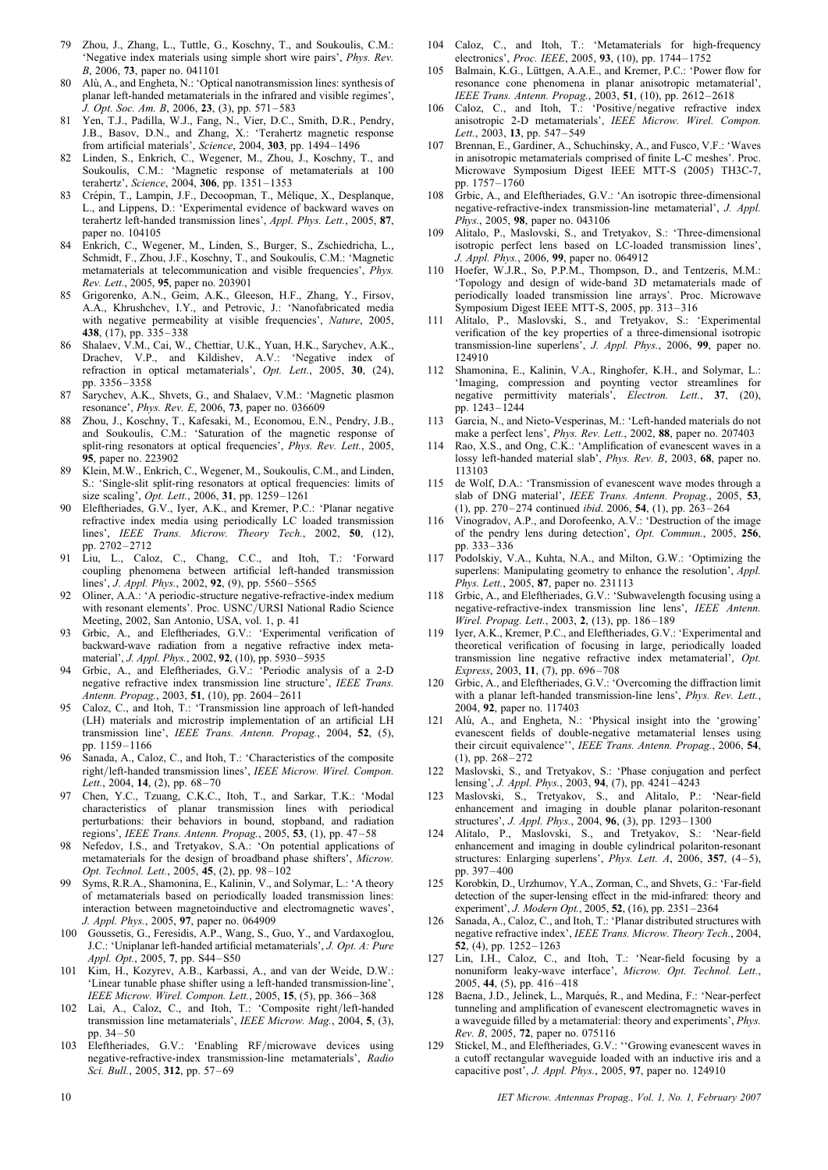- <span id="page-7-0"></span>79 Zhou, J., Zhang, L., Tuttle, G., Koschny, T., and Soukoulis, C.M.: 'Negative index materials using simple short wire pairs', Phys. Rev. B, 2006, 73, paper no. 041101
- 80 Alù, A., and Engheta, N.: 'Optical nanotransmission lines: synthesis of planar left-handed metamaterials in the infrared and visible regimes', J. Opt. Soc. Am. B, 2006, 23, (3), pp. 571-583
- Yen, T.J., Padilla, W.J., Fang, N., Vier, D.C., Smith, D.R., Pendry, J.B., Basov, D.N., and Zhang, X.: 'Terahertz magnetic response from artificial materials', Science, 2004, 303, pp. 1494–1496
- 82 Linden, S., Enkrich, C., Wegener, M., Zhou, J., Koschny, T., and Soukoulis, C.M.: 'Magnetic response of metamaterials at 100 terahertz', Science, 2004, 306, pp. 1351– 1353
- 83 Crépin, T., Lampin, J.F., Decoopman, T., Mélique, X., Desplanque, L., and Lippens, D.: 'Experimental evidence of backward waves on terahertz left-handed transmission lines', Appl. Phys. Lett., 2005, 87, paper no. 104105
- 84 Enkrich, C., Wegener, M., Linden, S., Burger, S., Zschiedricha, L., Schmidt, F., Zhou, J.F., Koschny, T., and Soukoulis, C.M.: 'Magnetic metamaterials at telecommunication and visible frequencies', *Phys.* Rev. Lett., 2005, 95, paper no. 203901
- 85 Grigorenko, A.N., Geim, A.K., Gleeson, H.F., Zhang, Y., Firsov, A.A., Khrushchev, I.Y., and Petrovic, J.: 'Nanofabricated media with negative permeability at visible frequencies', Nature, 2005, 438, (17), pp. 335–338
- 86 Shalaev, V.M., Cai, W., Chettiar, U.K., Yuan, H.K., Sarychev, A.K., Drachev, V.P., and Kildishev, A.V.: 'Negative index of refraction in optical metamaterials', Opt. Lett., 2005, 30, (24), pp. 3356–3358
- 87 Sarychev, A.K., Shvets, G., and Shalaev, V.M.: 'Magnetic plasmon resonance', Phys. Rev. E, 2006, 73, paper no. 036609
- 88 Zhou, J., Koschny, T., Kafesaki, M., Economou, E.N., Pendry, J.B., and Soukoulis, C.M.: 'Saturation of the magnetic response of split-ring resonators at optical frequencies', Phys. Rev. Lett., 2005, 95, paper no. 223902
- 89 Klein, M.W., Enkrich, C., Wegener, M., Soukoulis, C.M., and Linden, S.: 'Single-slit split-ring resonators at optical frequencies: limits of size scaling', *Opt. Lett.*, 2006, 31, pp.  $1259 - 1261$
- 90 Eleftheriades, G.V., Iyer, A.K., and Kremer, P.C.: 'Planar negative refractive index media using periodically LC loaded transmission lines', IEEE Trans. Microw. Theory Tech., 2002, 50, (12), pp. 2702–2712
- Liu, L., Caloz, C., Chang, C.C., and Itoh, T.: 'Forward coupling phenomena between artificial left-handed transmission lines', J. Appl. Phys., 2002, 92, (9), pp. 5560–5565
- 92 Oliner, A.A.: 'A periodic-structure negative-refractive-index medium with resonant elements'. Proc. USNC/URSI National Radio Science Meeting, 2002, San Antonio, USA, vol. 1, p. 41
- 93 Grbic, A., and Eleftheriades, G.V.: 'Experimental verification of backward-wave radiation from a negative refractive index metamaterial', J. Appl. Phys., 2002, 92, (10), pp. 5930–5935
- 94 Grbic, A., and Eleftheriades, G.V.: 'Periodic analysis of a 2-D negative refractive index transmission line structure', IEEE Trans. Antenn. Propag., 2003, 51, (10), pp. 2604–2611
- 95 Caloz, C., and Itoh, T.: 'Transmission line approach of left-handed (LH) materials and microstrip implementation of an artificial LH transmission line', IEEE Trans. Antenn. Propag., 2004, 52, (5), pp. 1159–1166
- 96 Sanada, A., Caloz, C., and Itoh, T.: 'Characteristics of the composite right/left-handed transmission lines', IEEE Microw. Wirel. Compon. Lett., 2004, 14, (2), pp. 68-70
- Chen, Y.C., Tzuang, C.K.C., Itoh, T., and Sarkar, T.K.: 'Modal characteristics of planar transmission lines with periodical perturbations: their behaviors in bound, stopband, and radiation regions', IEEE Trans. Antenn. Propag., 2005, 53, (1), pp. 47-58
- 98 Nefedov, I.S., and Tretyakov, S.A.: 'On potential applications of metamaterials for the design of broadband phase shifters', Microw. Opt. Technol. Lett., 2005, 45, (2), pp. 98–102
- 99 Syms, R.R.A., Shamonina, E., Kalinin, V., and Solymar, L.: 'A theory of metamaterials based on periodically loaded transmission lines: interaction between magnetoinductive and electromagnetic waves', J. Appl. Phys., 2005, 97, paper no. 064909
- 100 Goussetis, G., Feresidis, A.P., Wang, S., Guo, Y., and Vardaxoglou, J.C.: 'Uniplanar left-handed artificial metamaterials', J. Opt. A: Pure Appl. Opt., 2005, 7, pp. S44–S50
- 101 Kim, H., Kozyrev, A.B., Karbassi, A., and van der Weide, D.W.: 'Linear tunable phase shifter using a left-handed transmission-line', IEEE Microw. Wirel. Compon. Lett., 2005, 15, (5), pp. 366– 368
- 102 Lai, A., Caloz, C., and Itoh, T.: 'Composite right/left-handed transmission line metamaterials', IEEE Microw. Mag., 2004, 5, (3), pp. 34– 50
- 103 Eleftheriades, G.V.: 'Enabling RF/microwave devices using negative-refractive-index transmission-line metamaterials', Radio Sci. Bull., 2005, 312, pp. 57-69
- 104 Caloz, C., and Itoh, T.: 'Metamaterials for high-frequency electronics', Proc. IEEE, 2005, 93, (10), pp. 1744–1752
- 105 Balmain, K.G., Lüttgen, A.A.E., and Kremer, P.C.: 'Power flow for resonance cone phenomena in planar anisotropic metamaterial', IEEE Trans. Antenn. Propag., 2003, 51, (10), pp. 2612–2618
- 106 Caloz, C., and Itoh, T.: 'Positive/negative refractive index anisotropic 2-D metamaterials', IEEE Microw. Wirel. Compon. Lett., 2003, 13, pp. 547–549
- 107 Brennan, E., Gardiner, A., Schuchinsky, A., and Fusco, V.F.: 'Waves in anisotropic metamaterials comprised of finite L-C meshes'. Proc. Microwave Symposium Digest IEEE MTT-S (2005) TH3C-7, pp. 1757–1760
- 108 Grbic, A., and Eleftheriades, G.V.: 'An isotropic three-dimensional negative-refractive-index transmission-line metamaterial', J. Appl. Phys., 2005, 98, paper no. 043106
- 109 Alitalo, P., Maslovski, S., and Tretyakov, S.: 'Three-dimensional isotropic perfect lens based on LC-loaded transmission lines', J. Appl. Phys., 2006, 99, paper no. 064912
- 110 Hoefer, W.J.R., So, P.P.M., Thompson, D., and Tentzeris, M.M.: 'Topology and design of wide-band 3D metamaterials made of periodically loaded transmission line arrays'. Proc. Microwave Symposium Digest IEEE MTT-S, 2005, pp. 313-316
- 111 Alitalo, P., Maslovski, S., and Tretyakov, S.: 'Experimental verification of the key properties of a three-dimensional isotropic transmission-line superlens', J. Appl. Phys., 2006, 99, paper no. 124910
- 112 Shamonina, E., Kalinin, V.A., Ringhofer, K.H., and Solymar, L.: 'Imaging, compression and poynting vector streamlines for negative permittivity materials', Electron. Lett., 37, (20), pp. 1243–1244
- 113 Garcia, N., and Nieto-Vesperinas, M.: 'Left-handed materials do not make a perfect lens', Phys. Rev. Lett., 2002, 88, paper no. 207403
- 114 Rao, X.S., and Ong, C.K.: 'Amplification of evanescent waves in a lossy left-handed material slab', Phys. Rev. B, 2003, 68, paper no. 113103
- 115 de Wolf, D.A.: 'Transmission of evanescent wave modes through a slab of DNG material', IEEE Trans. Antenn. Propag., 2005, 53, (1), pp. 270–274 continued *ibid.* 2006, 54, (1), pp.  $263-264$
- 116 Vinogradov, A.P., and Dorofeenko, A.V.: 'Destruction of the image of the pendry lens during detection', Opt. Commun., 2005, 256, pp. 333– 336
- 117 Podolskiy, V.A., Kuhta, N.A., and Milton, G.W.: 'Optimizing the superlens: Manipulating geometry to enhance the resolution', Appl. Phys. Lett., 2005, **87**, paper no. 231113
- 118 Grbic, A., and Eleftheriades, G.V.: 'Subwavelength focusing using a negative-refractive-index transmission line lens', IEEE Antenn. Wirel. Propag. Lett., 2003, 2, (13), pp. 186-189
- 119 Iyer, A.K., Kremer, P.C., and Eleftheriades, G.V.: 'Experimental and theoretical verification of focusing in large, periodically loaded transmission line negative refractive index metamaterial', Opt. Express, 2003, 11, (7), pp. 696–708
- 120 Grbic, A., and Eleftheriades, G.V.: 'Overcoming the diffraction limit with a planar left-handed transmission-line lens', Phys. Rev. Lett., 2004, 92, paper no. 117403
- 121 Alu`, A., and Engheta, N.: 'Physical insight into the 'growing' evanescent fields of double-negative metamaterial lenses using their circuit equivalence", IEEE Trans. Antenn. Propag., 2006, 54,  $(1)$ , pp. 268–272
- 122 Maslovski, S., and Tretyakov, S.: 'Phase conjugation and perfect lensing', *J. Appl. Phys.*, 2003, 94, (7), pp. 4241-4243
- Maslovski, S., Tretyakov, S., and Alitalo, P.: 'Near-field enhancement and imaging in double planar polariton-resonant structures', J. Appl. Phys., 2004, 96, (3), pp. 1293–1300
- 124 Alitalo, P., Maslovski, S., and Tretyakov, S.: 'Near-field enhancement and imaging in double cylindrical polariton-resonant structures: Enlarging superlens', Phys. Lett. A, 2006, 357,  $(4-5)$ , pp. 397-400
- 125 Korobkin, D., Urzhumov, Y.A., Zorman, C., and Shvets, G.: 'Far-field detection of the super-lensing effect in the mid-infrared: theory and experiment', *J. Modern Opt.*, 2005, **52**, (16), pp. 2351–2364
- 126 Sanada, A., Caloz, C., and Itoh, T.: 'Planar distributed structures with negative refractive index', IEEE Trans. Microw. Theory Tech., 2004, 52, (4), pp. 1252– 1263
- 127 Lin, I.H., Caloz, C., and Itoh, T.: 'Near-field focusing by a nonuniform leaky-wave interface', Microw. Opt. Technol. Lett., 2005, 44, (5), pp. 416– 418
- 128 Baena, J.D., Jelinek, L., Marqués, R., and Medina, F.: 'Near-perfect tunneling and amplification of evanescent electromagnetic waves in a waveguide filled by a metamaterial: theory and experiments', Phys. Rev. B, 2005, 72, paper no. 075116
- 129 Stickel, M., and Eleftheriades, G.V.: ''Growing evanescent waves in a cutoff rectangular waveguide loaded with an inductive iris and a capacitive post', J. Appl. Phys., 2005, 97, paper no. 124910

10 IET Microw. Antennas Propag., Vol. 1, No. 1, February 2007